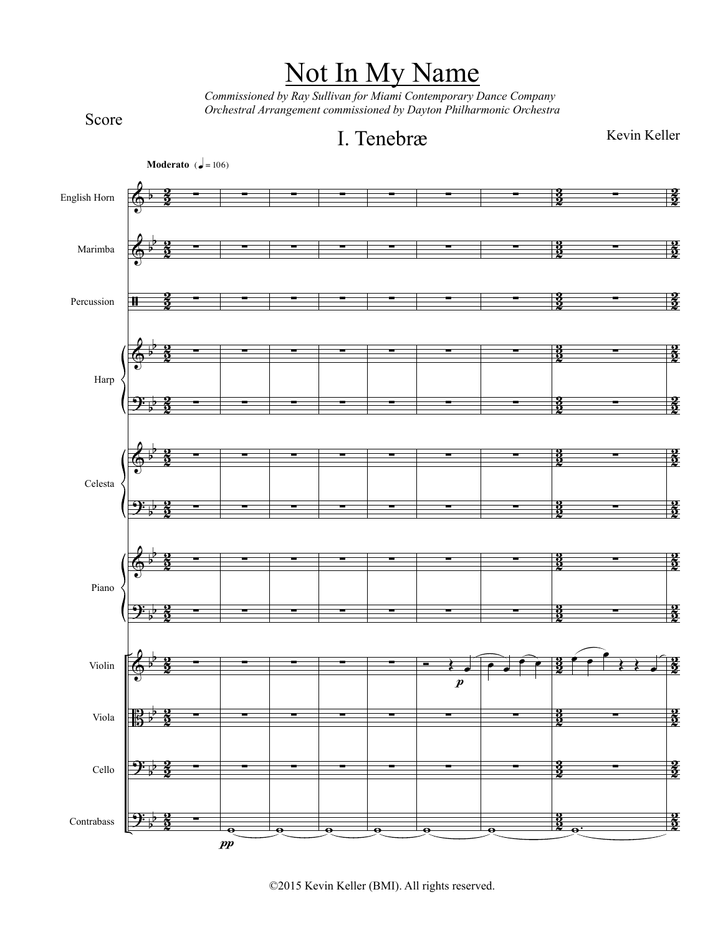Not In My Name

*Commissioned by Ray Sullivan for Miami Contemporary Dance Company Orchestral Arrangement commissioned by Dayton Philharmonic Orchestra*

Score



©2015 Kevin Keller (BMI). All rights reserved.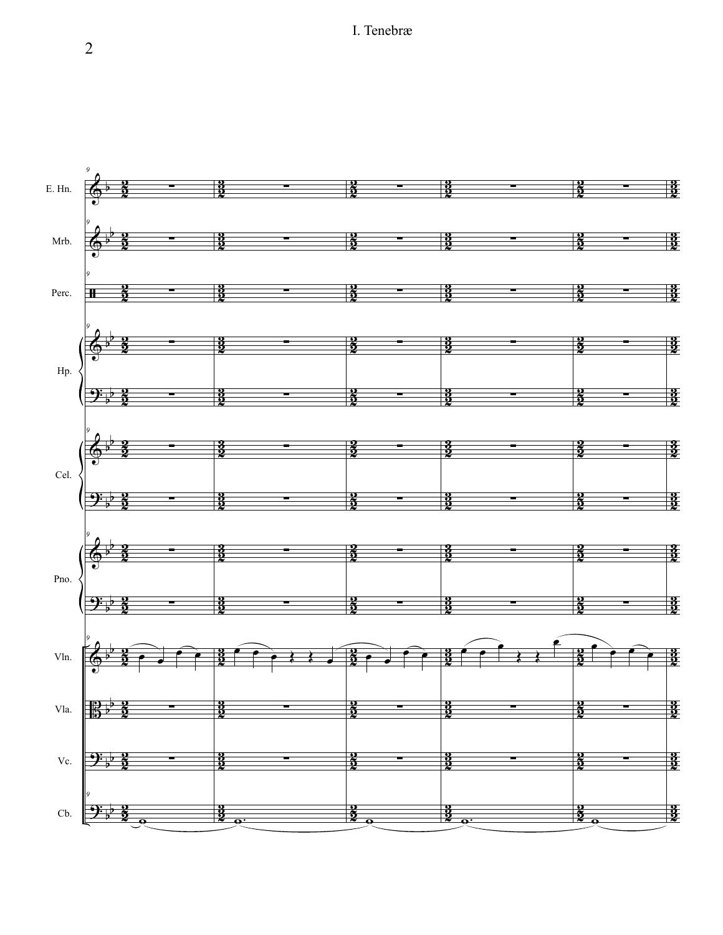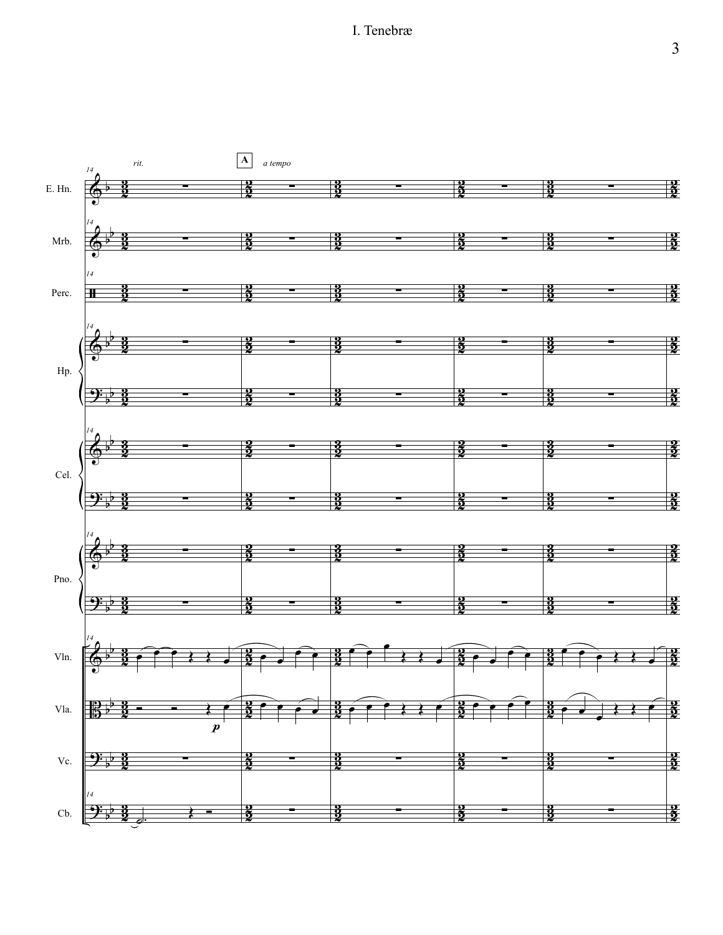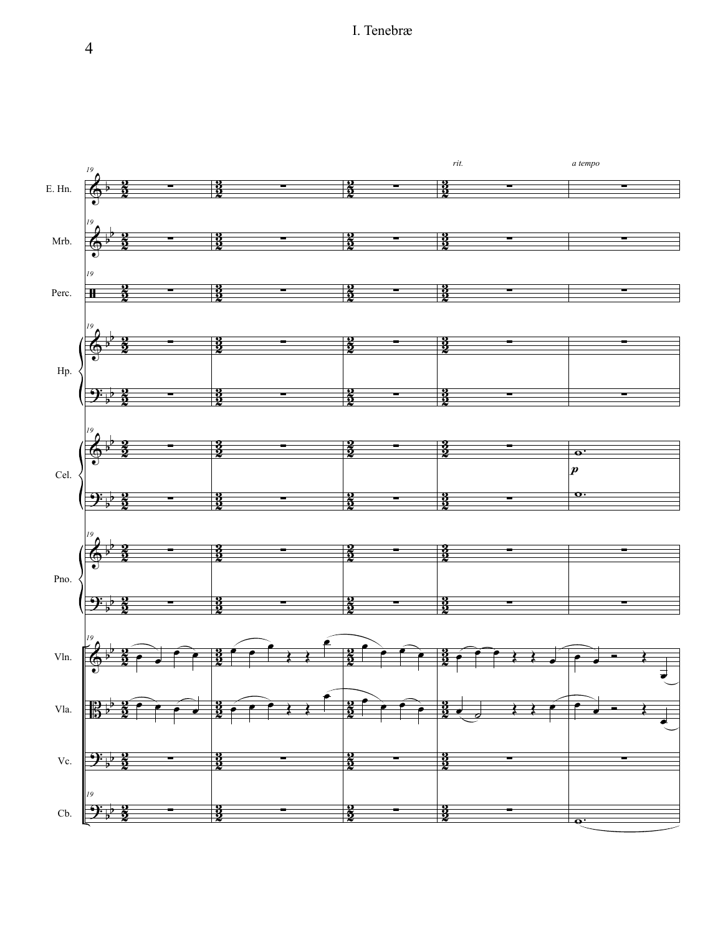

4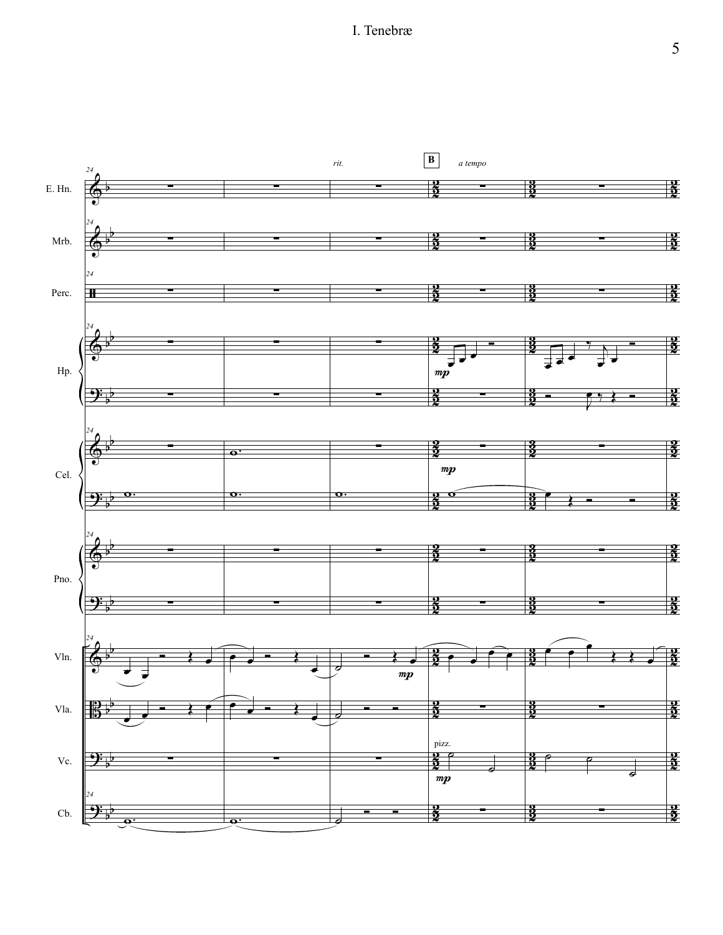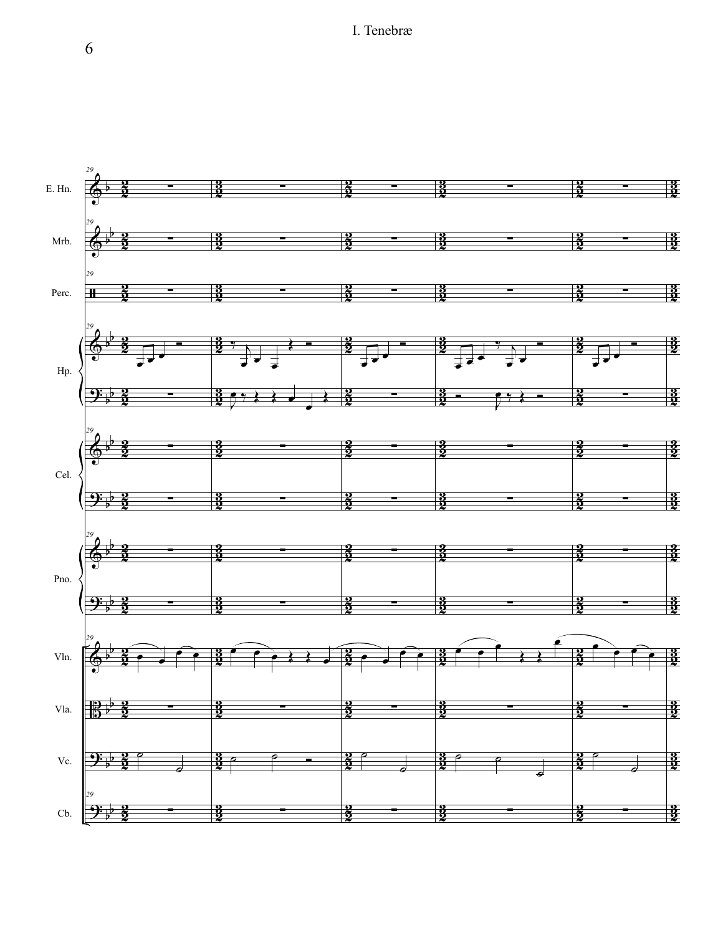

6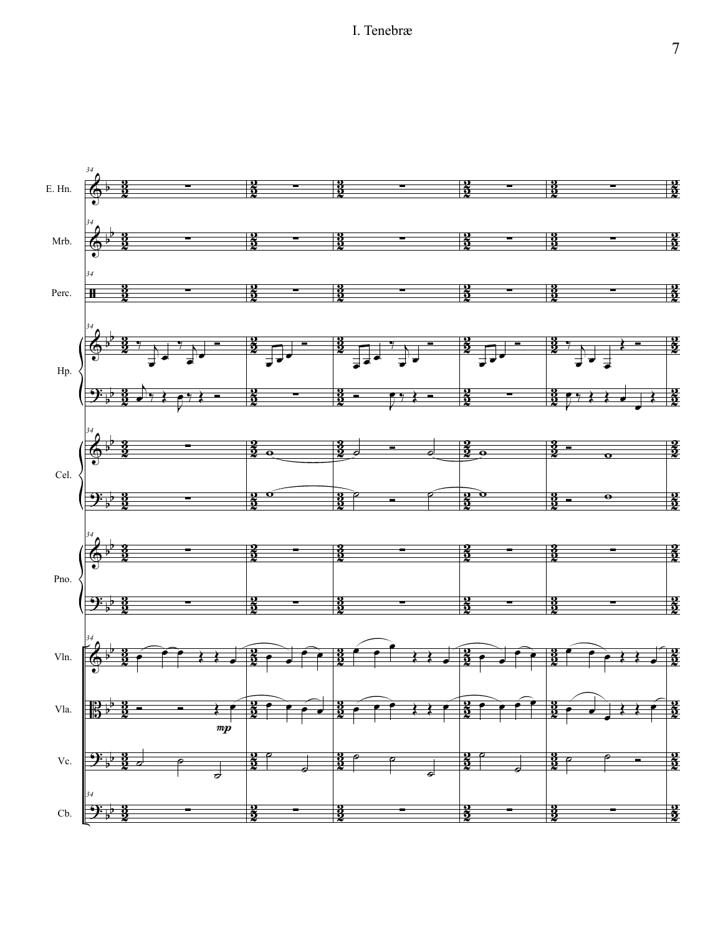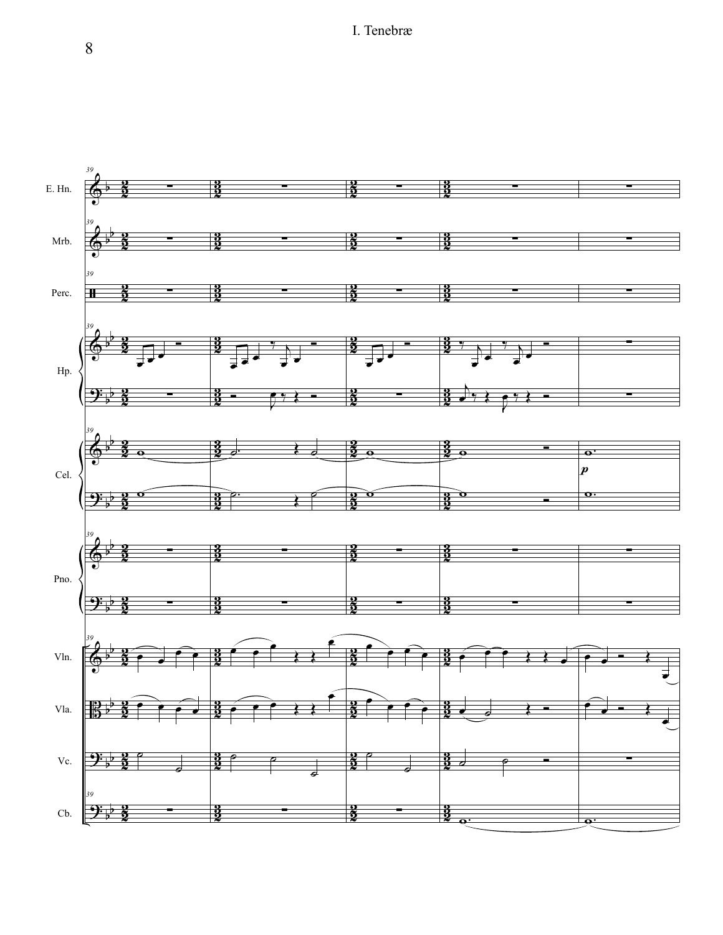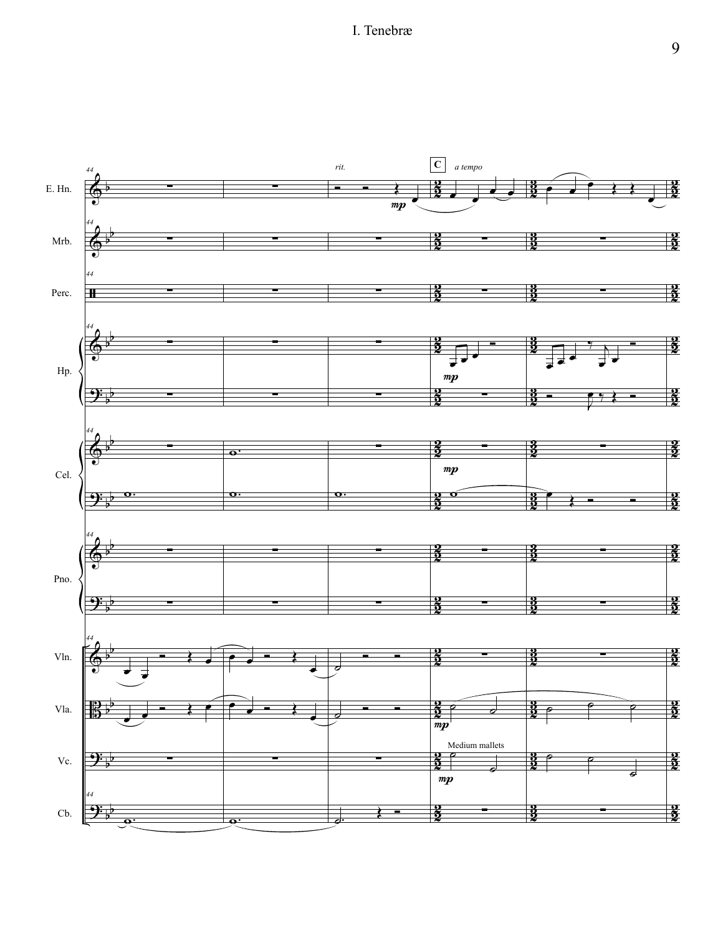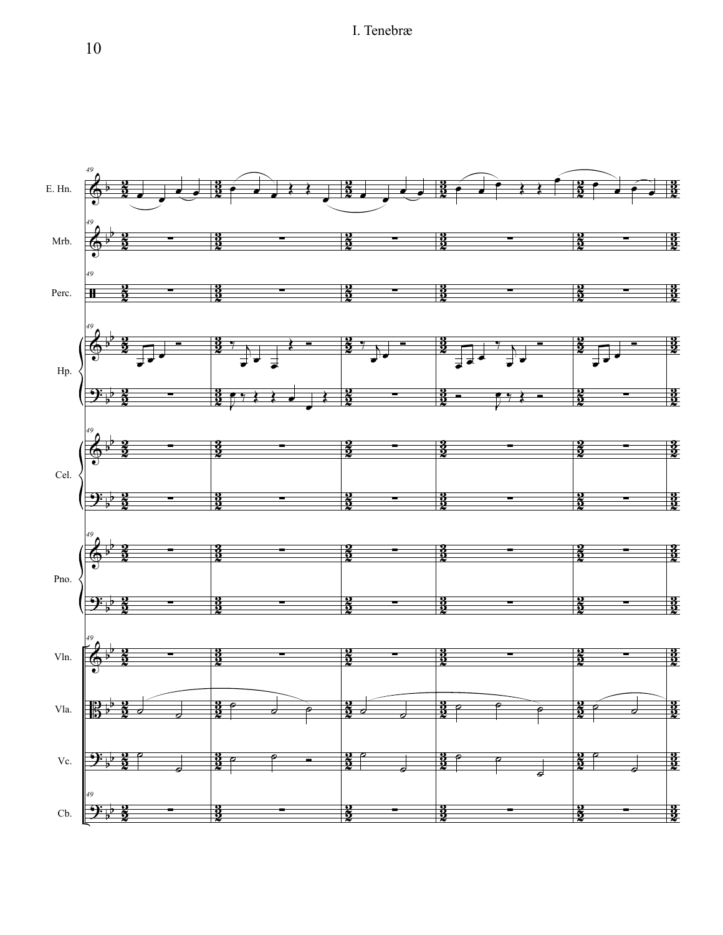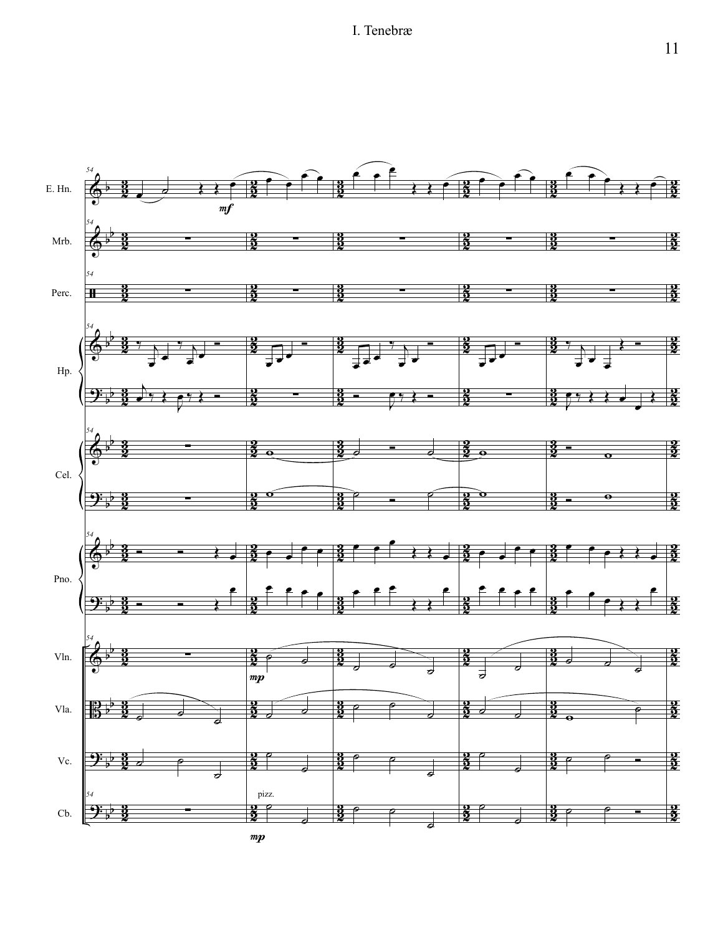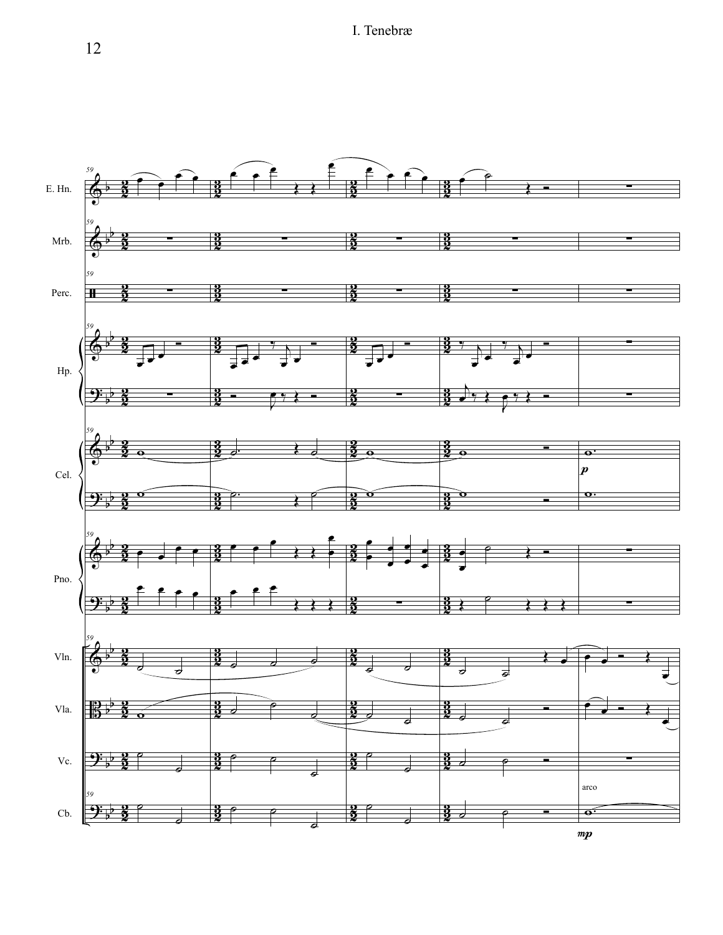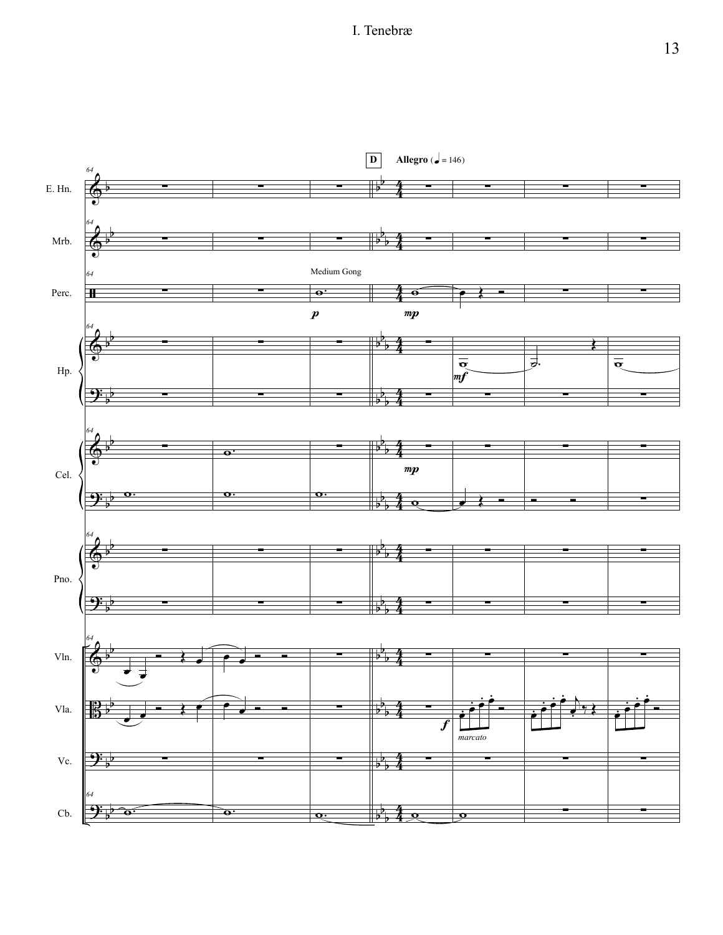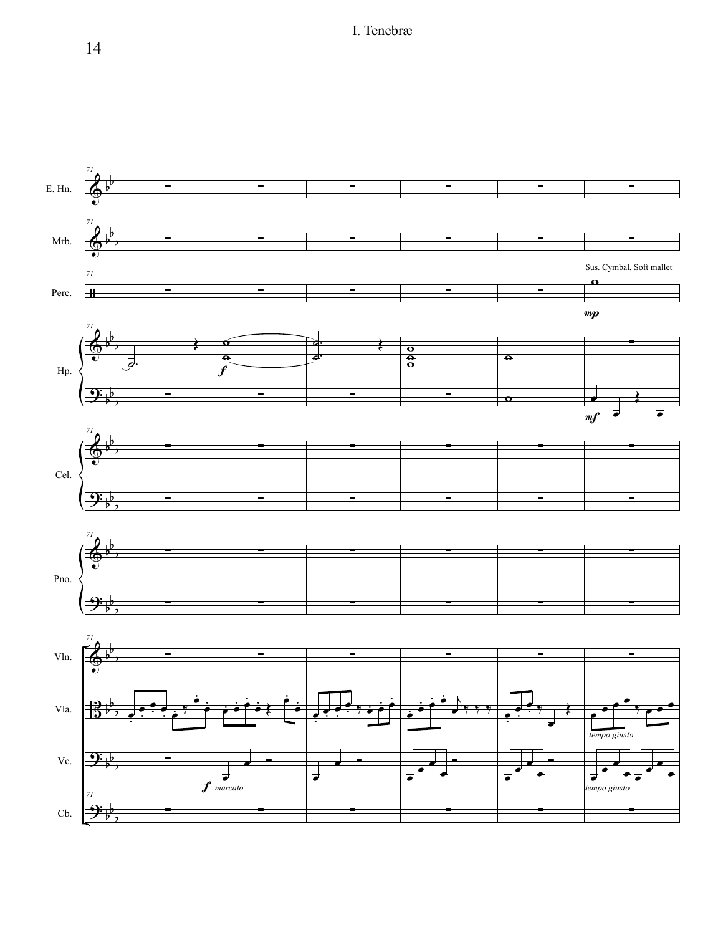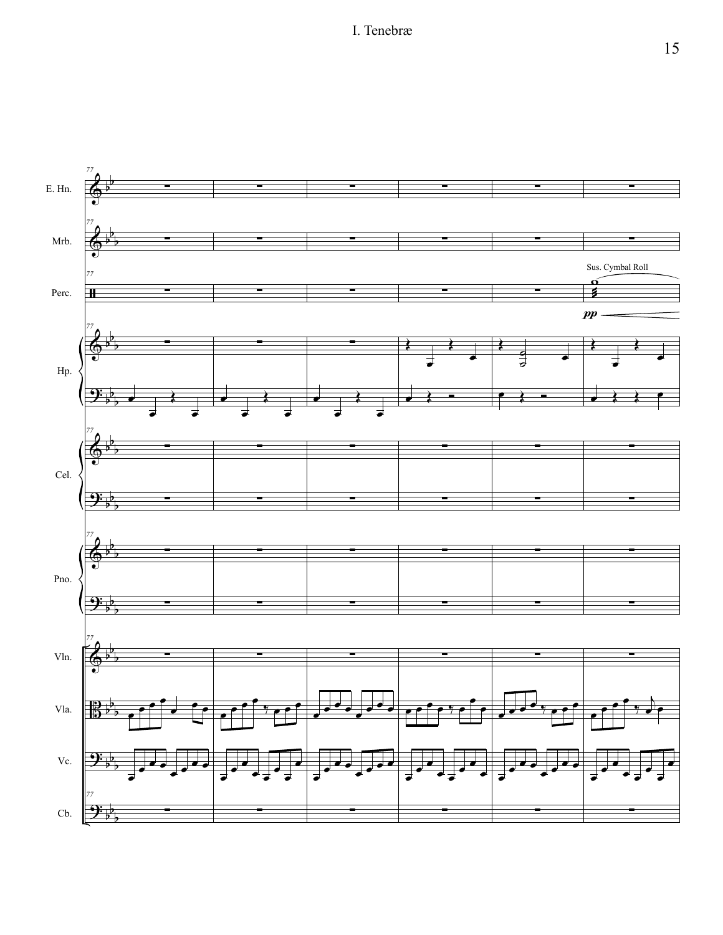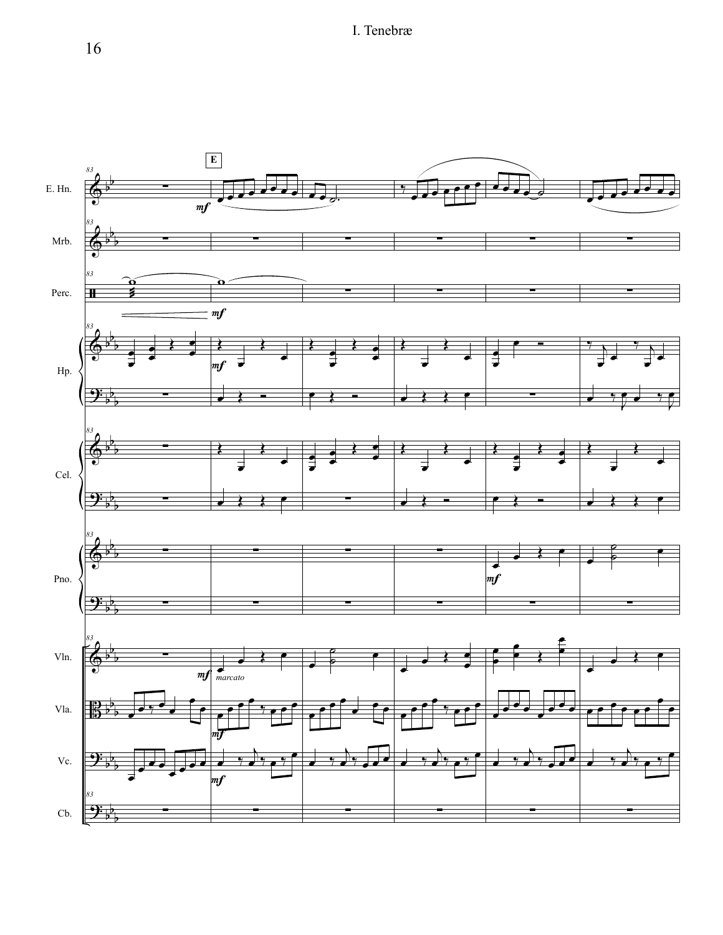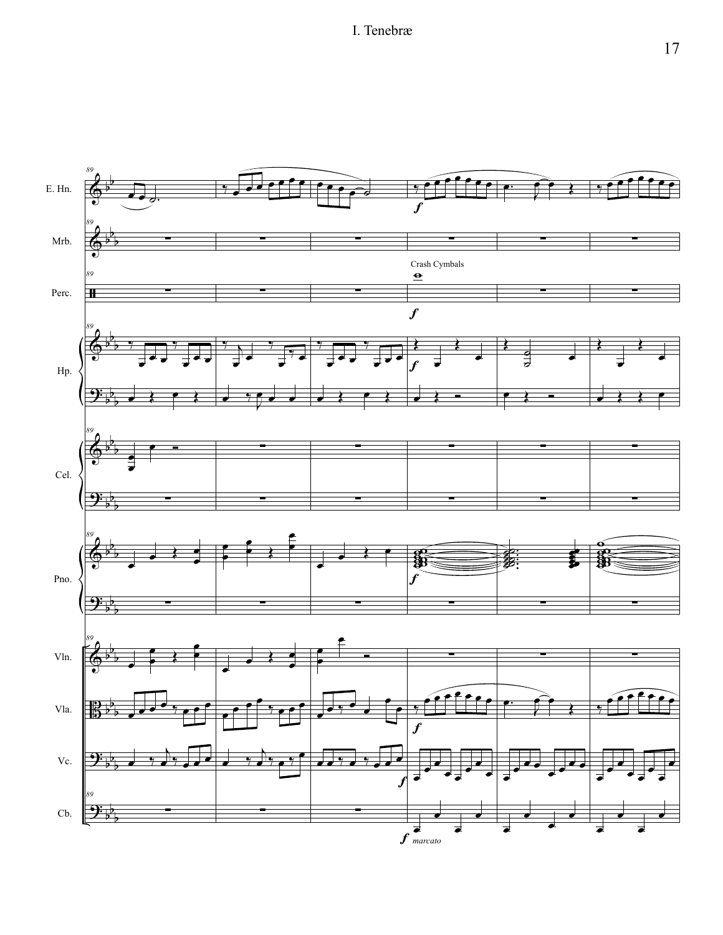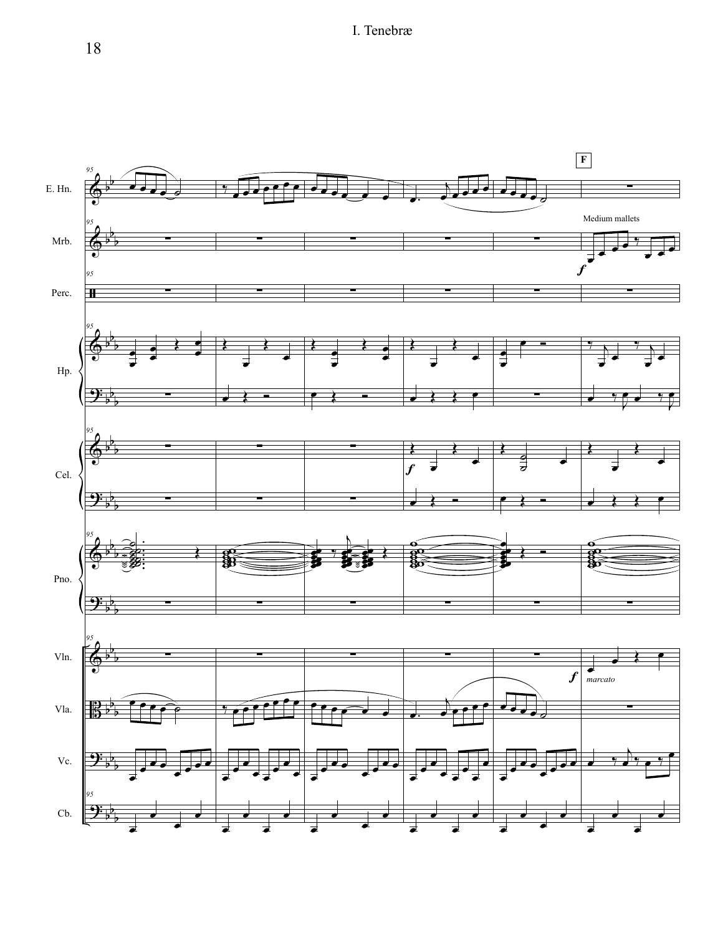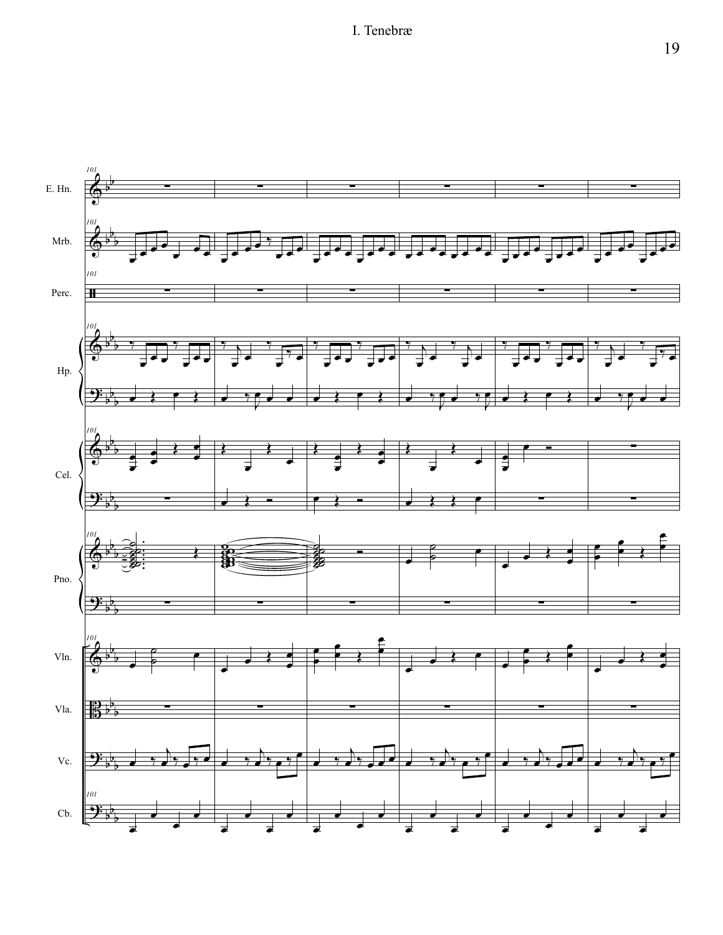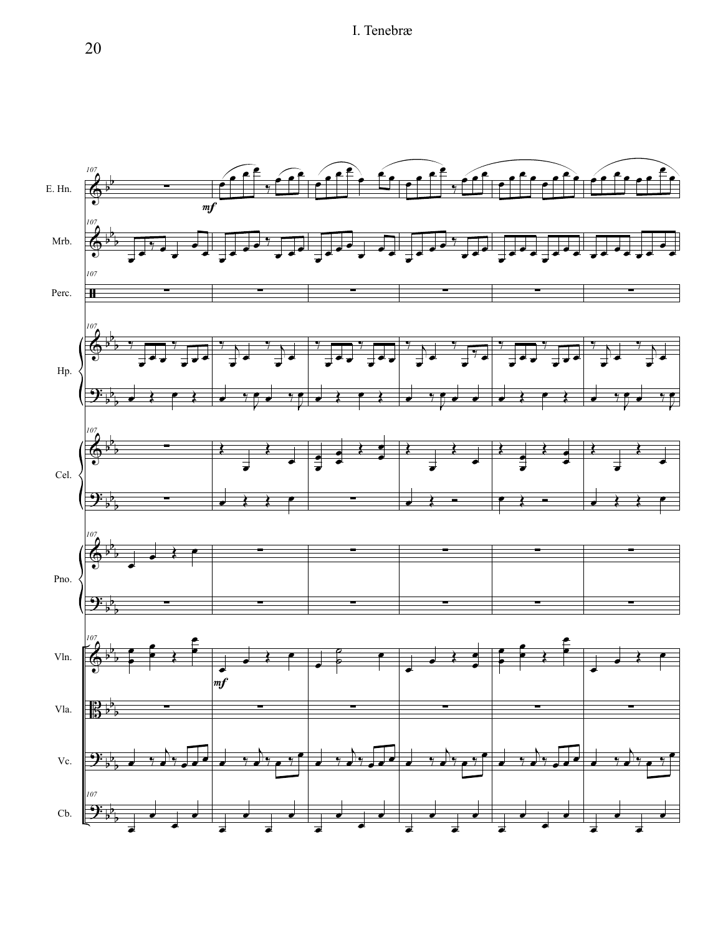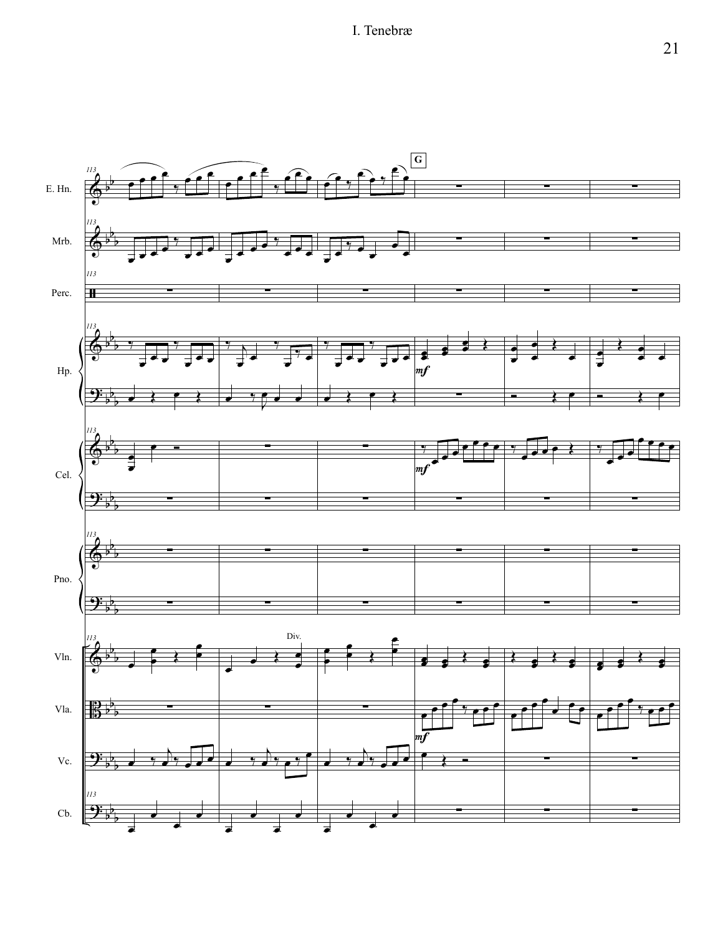![](_page_20_Figure_1.jpeg)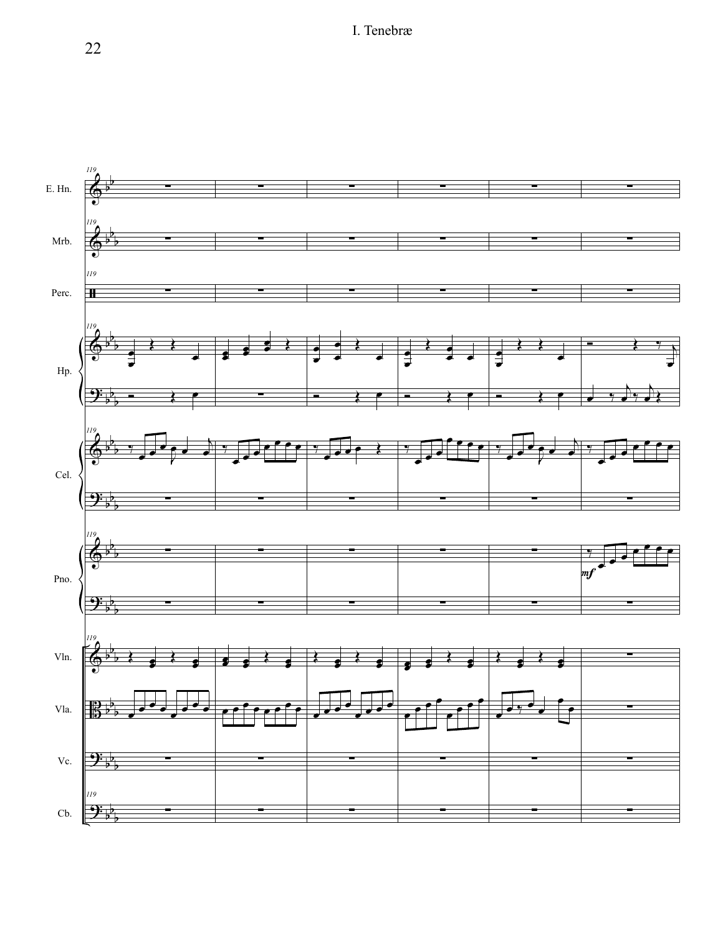![](_page_21_Figure_1.jpeg)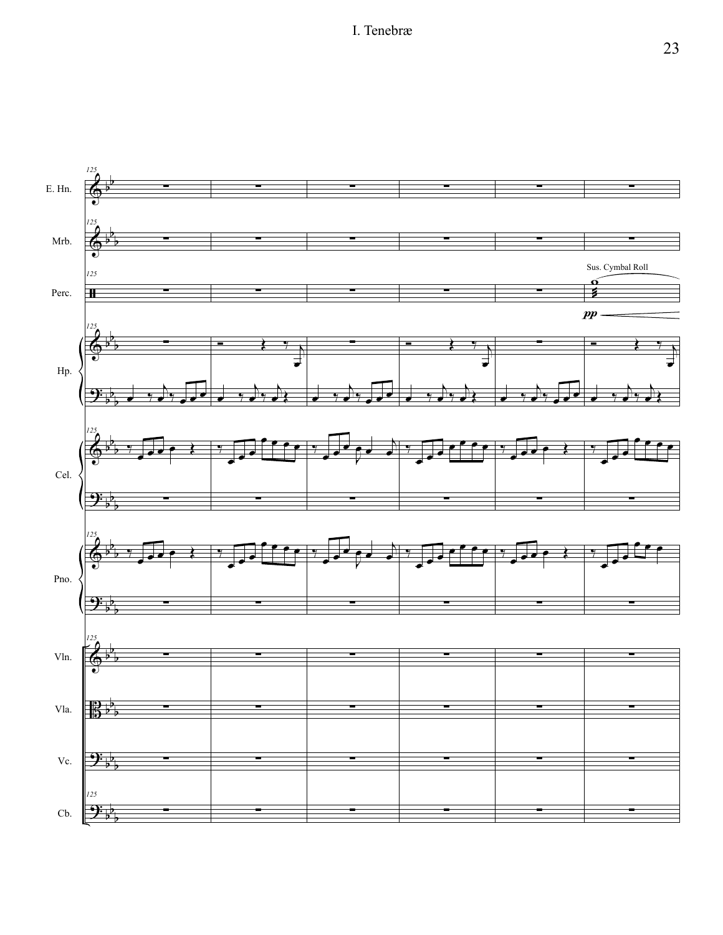![](_page_22_Figure_1.jpeg)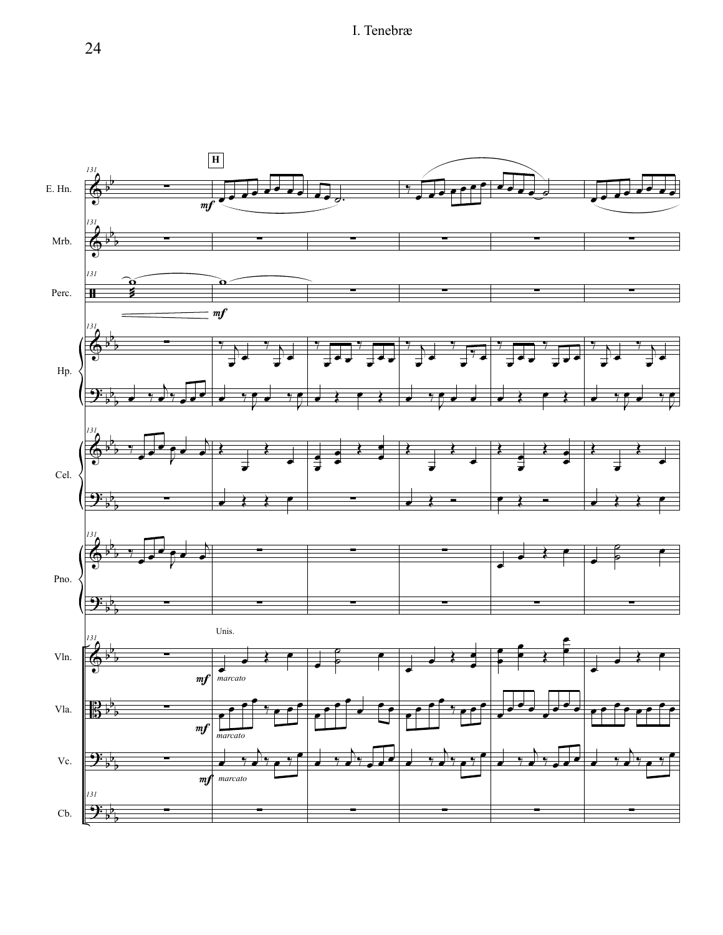![](_page_23_Figure_1.jpeg)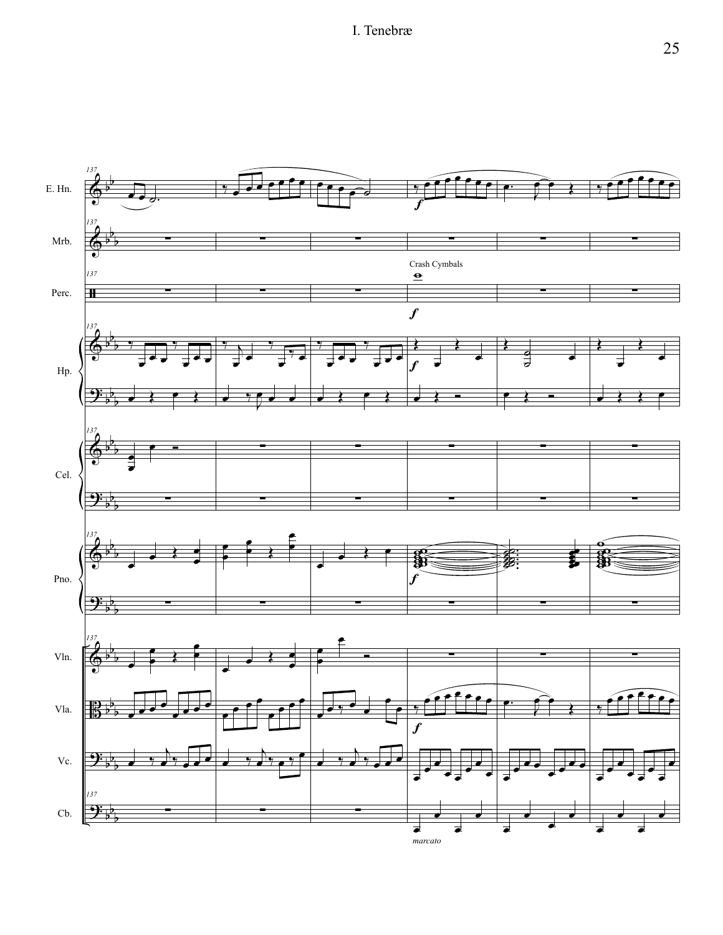![](_page_24_Figure_1.jpeg)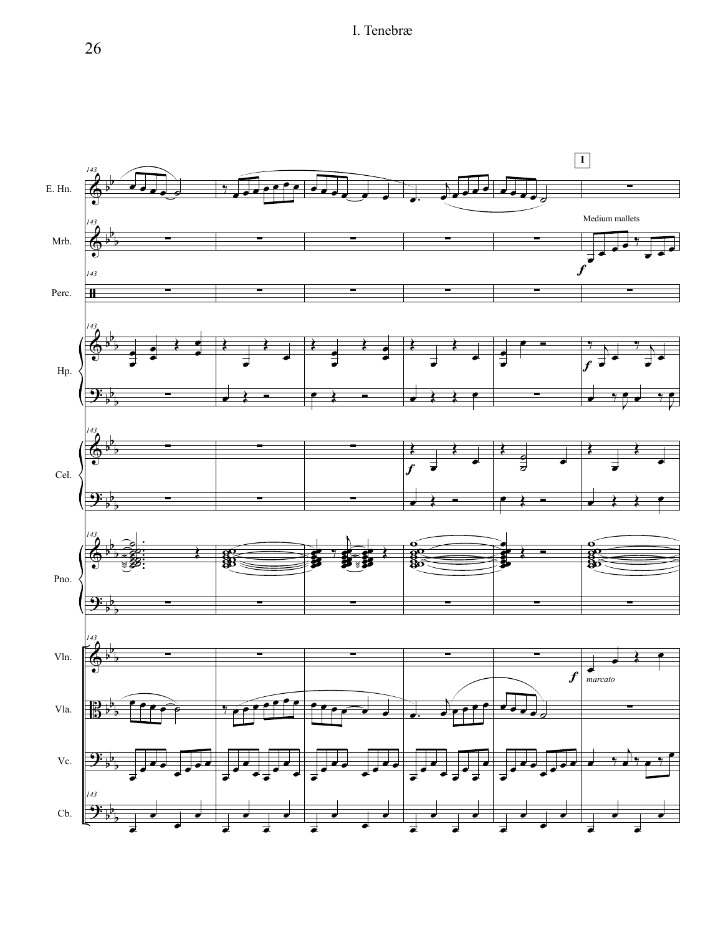![](_page_25_Figure_1.jpeg)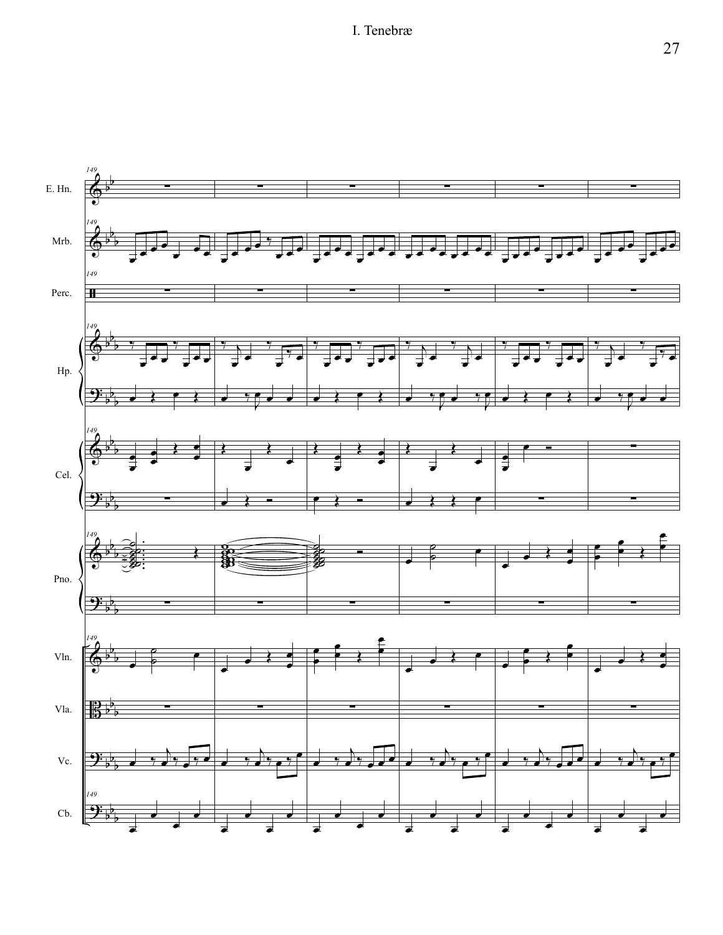![](_page_26_Figure_1.jpeg)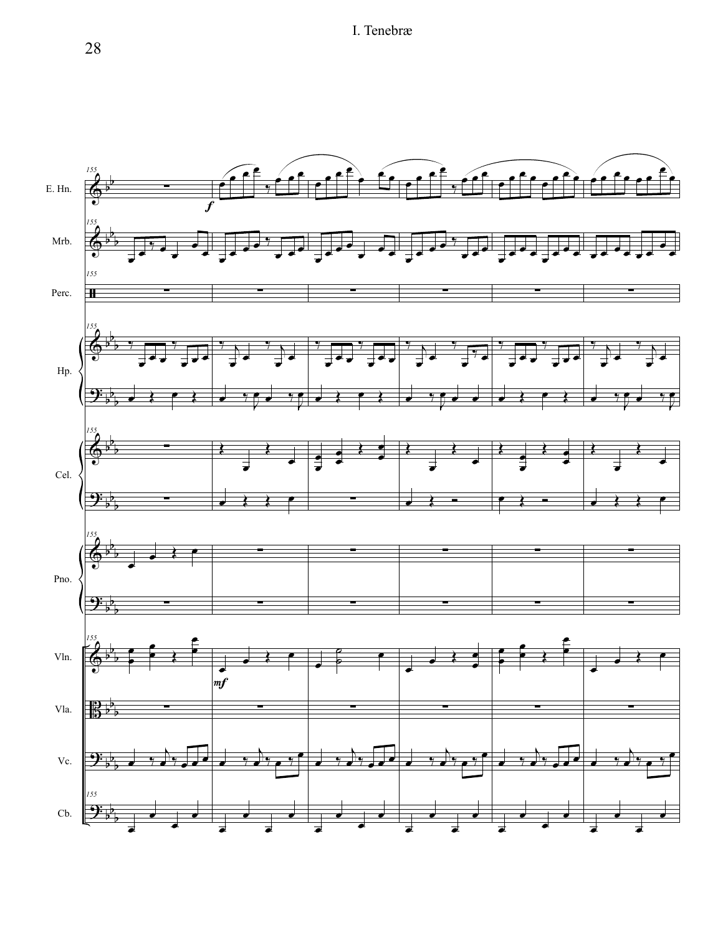![](_page_27_Figure_1.jpeg)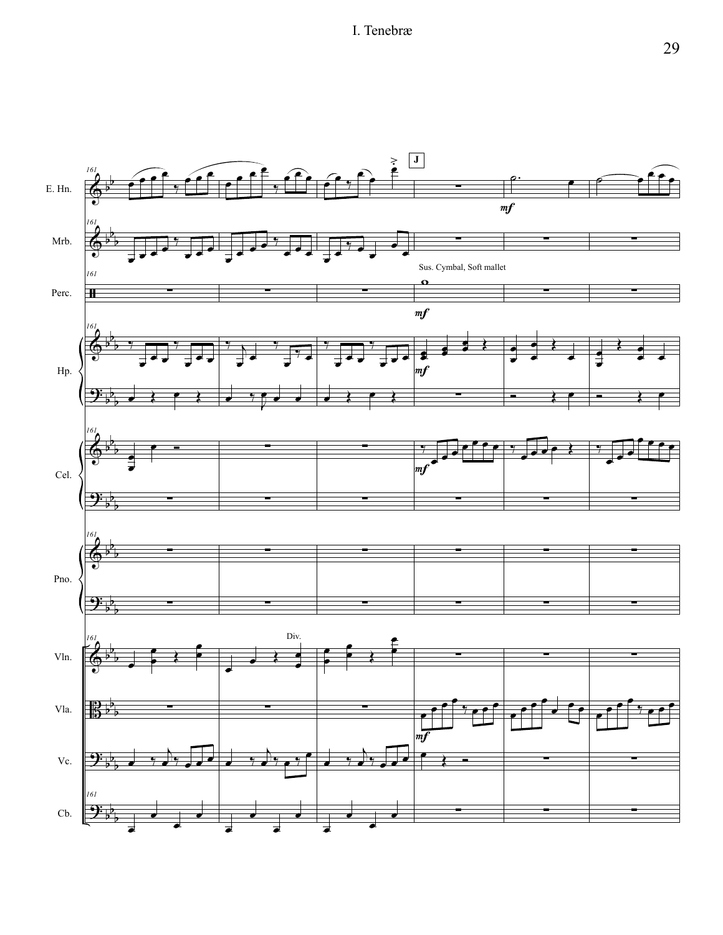![](_page_28_Figure_1.jpeg)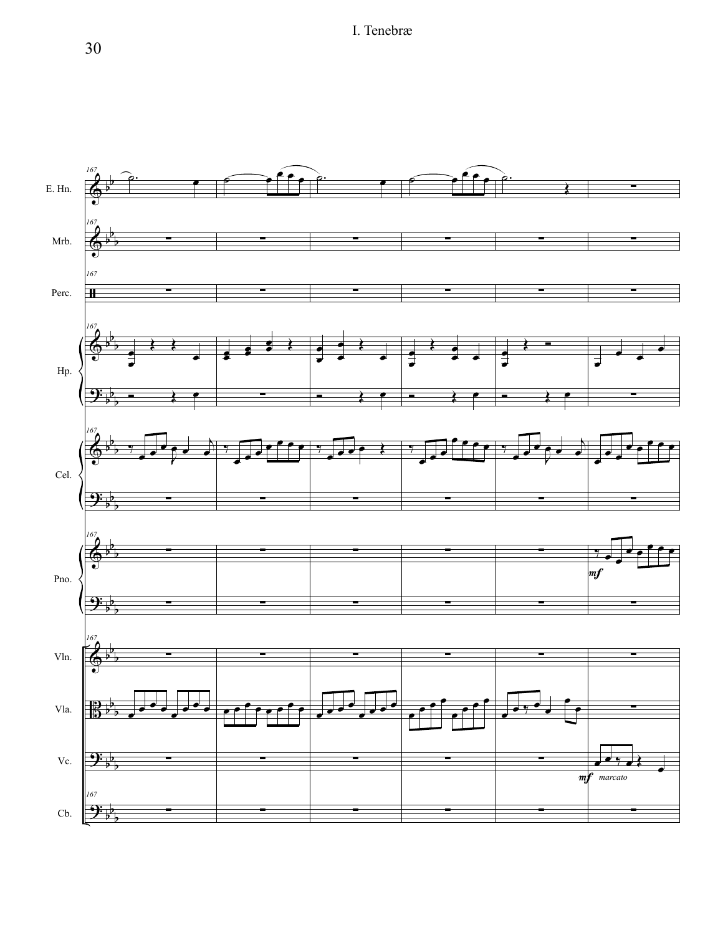![](_page_29_Figure_1.jpeg)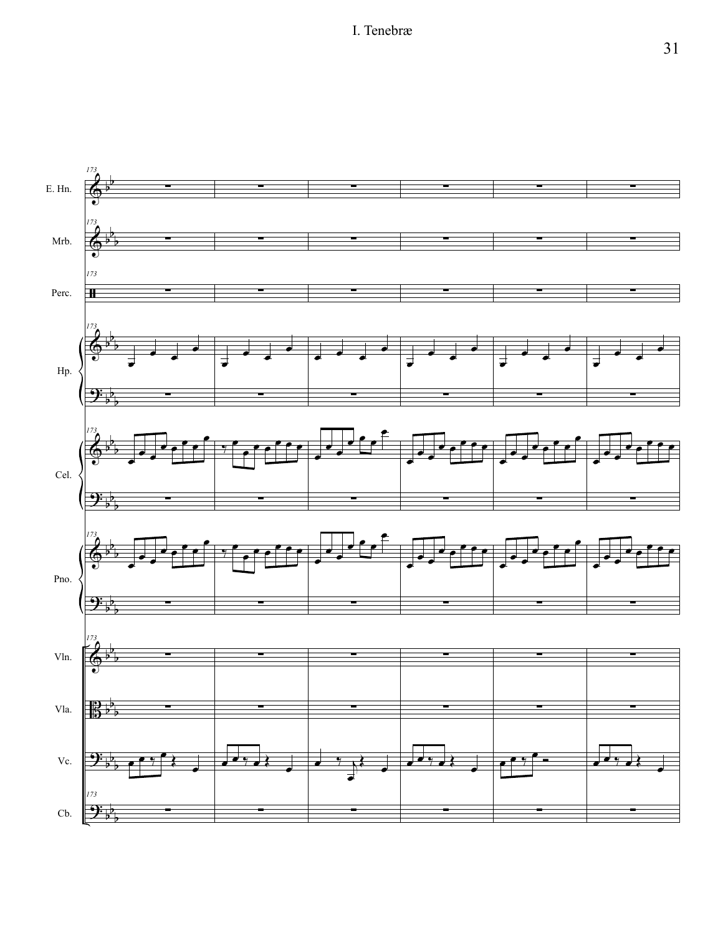![](_page_30_Figure_1.jpeg)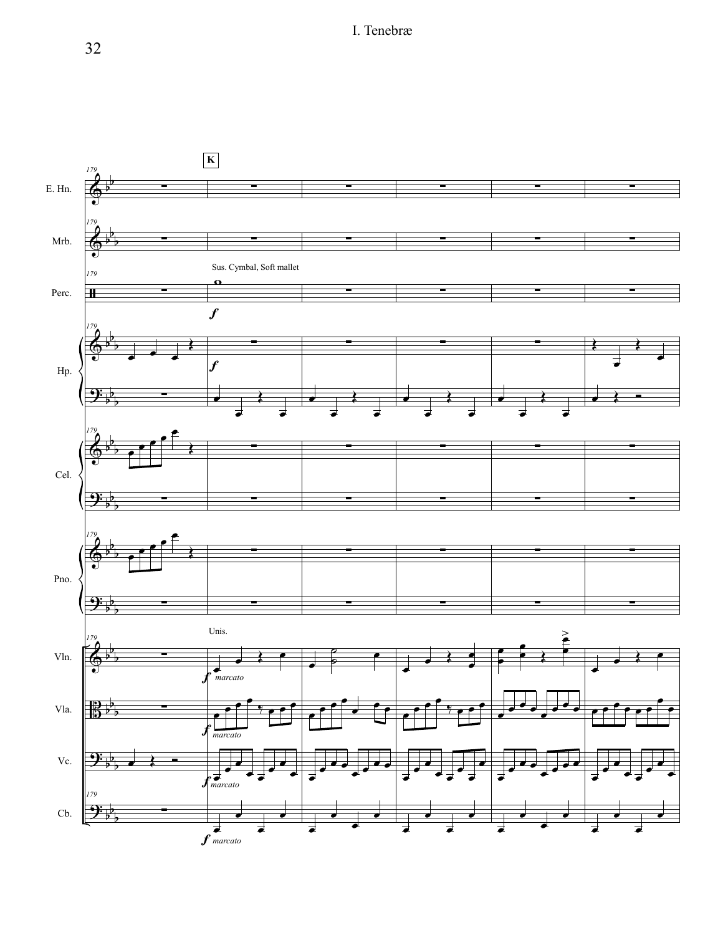![](_page_31_Figure_1.jpeg)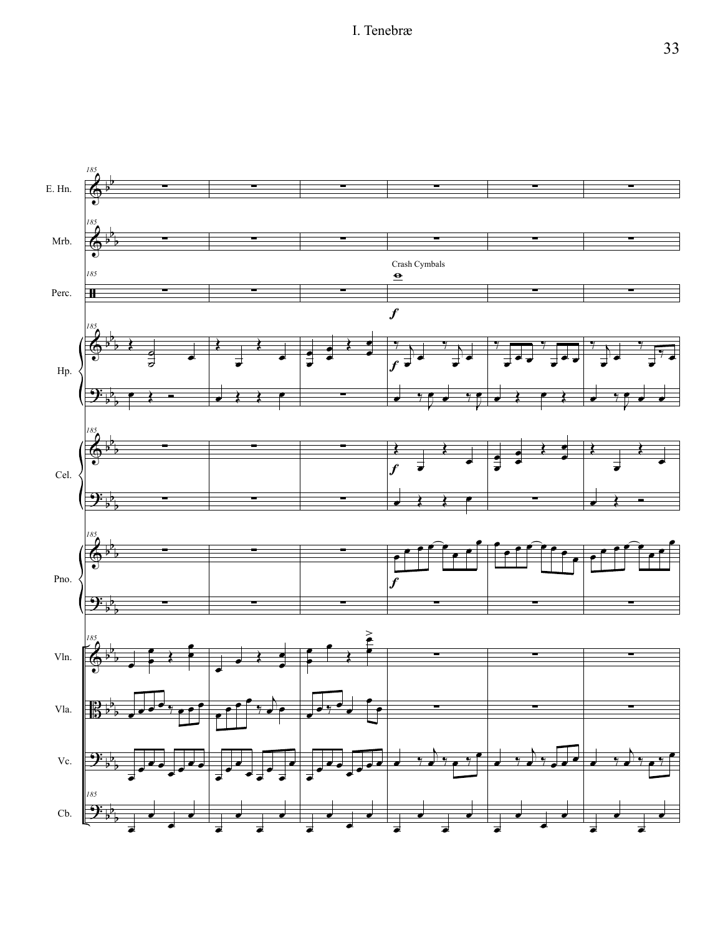![](_page_32_Figure_1.jpeg)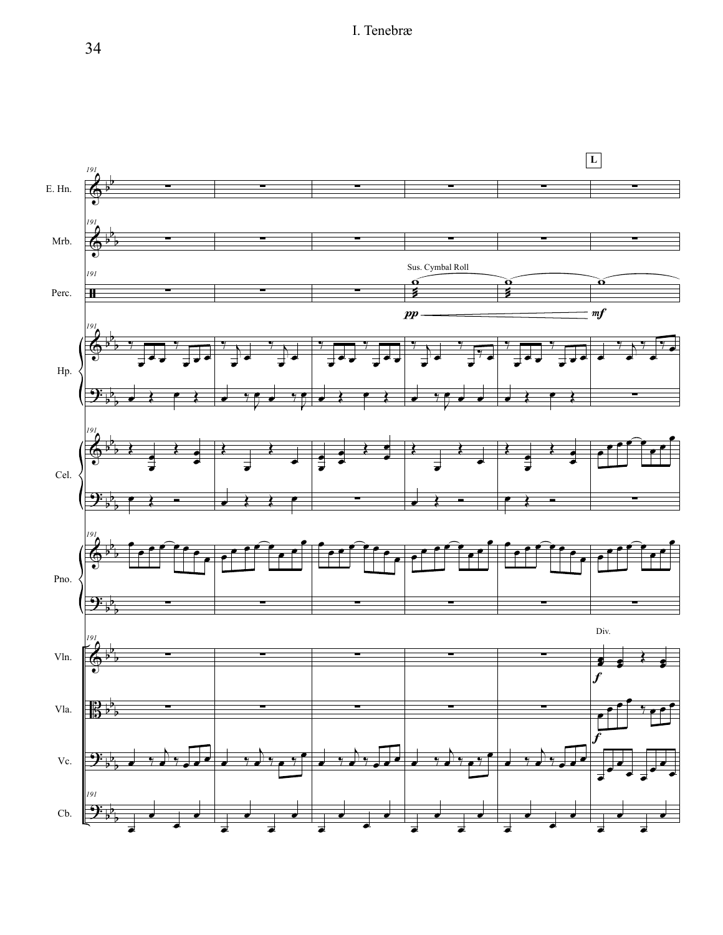![](_page_33_Figure_1.jpeg)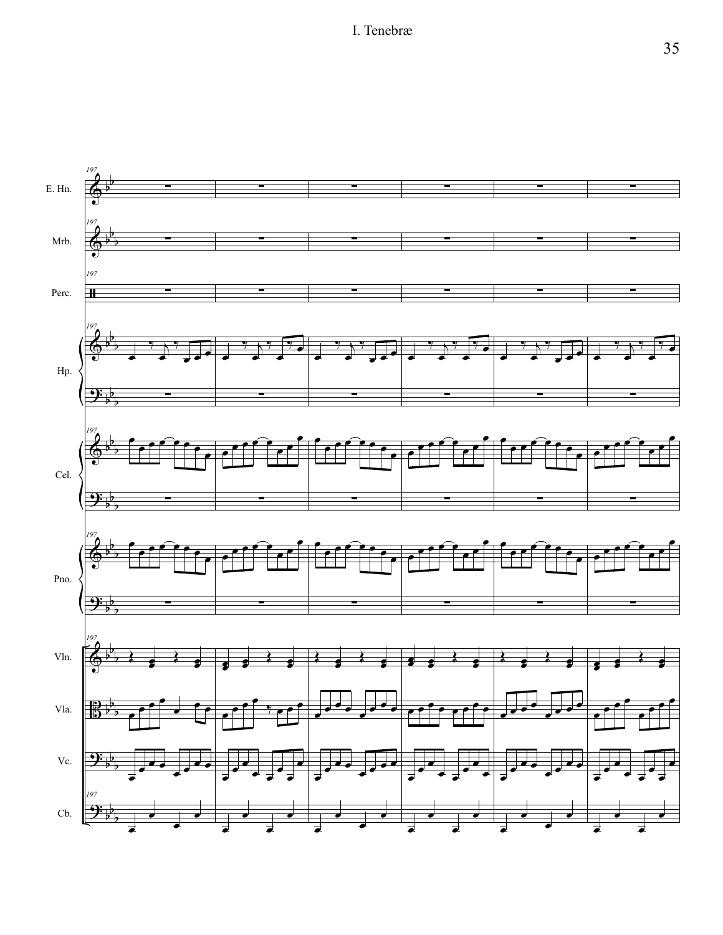![](_page_34_Figure_1.jpeg)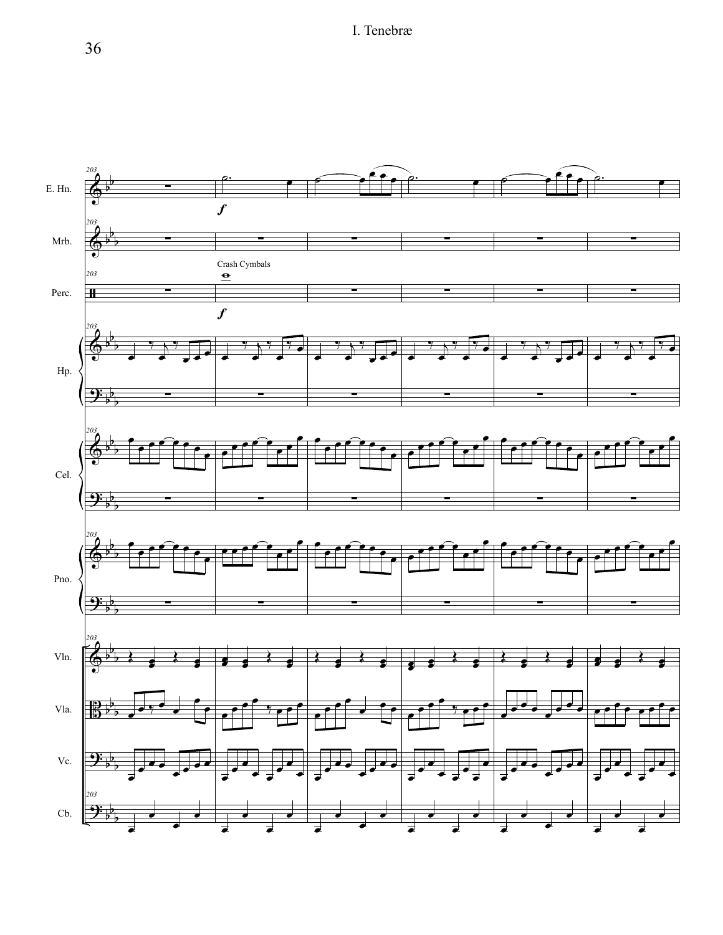![](_page_35_Figure_1.jpeg)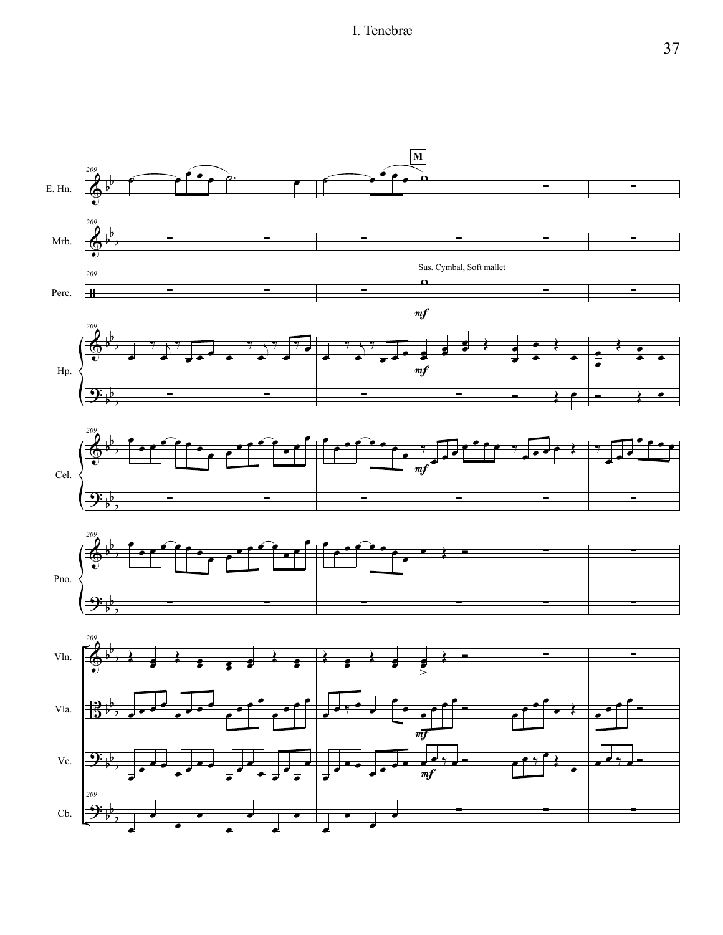![](_page_36_Figure_1.jpeg)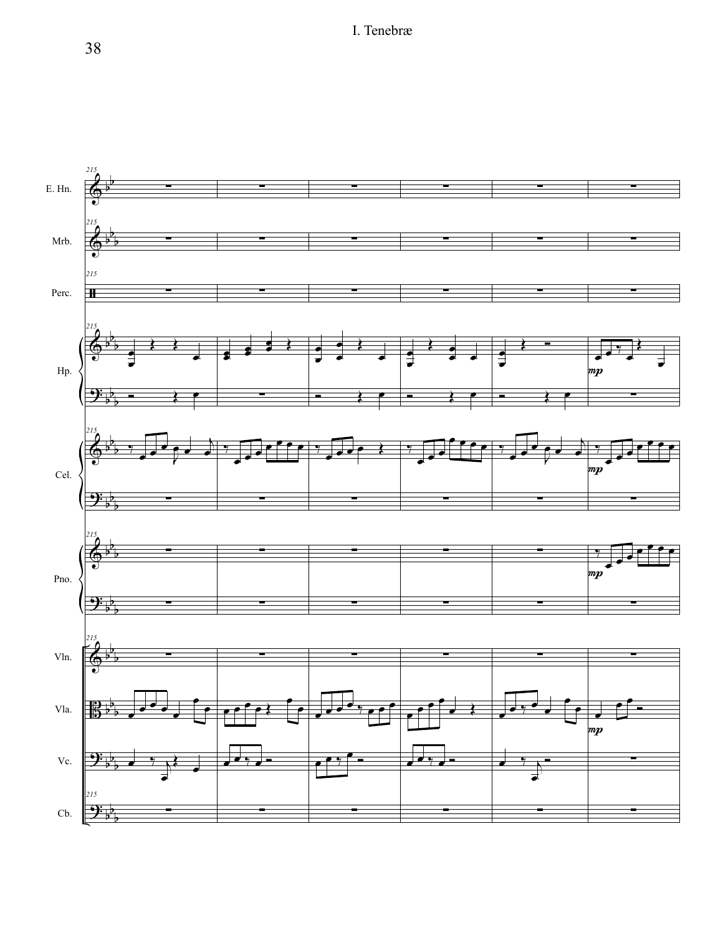![](_page_37_Figure_1.jpeg)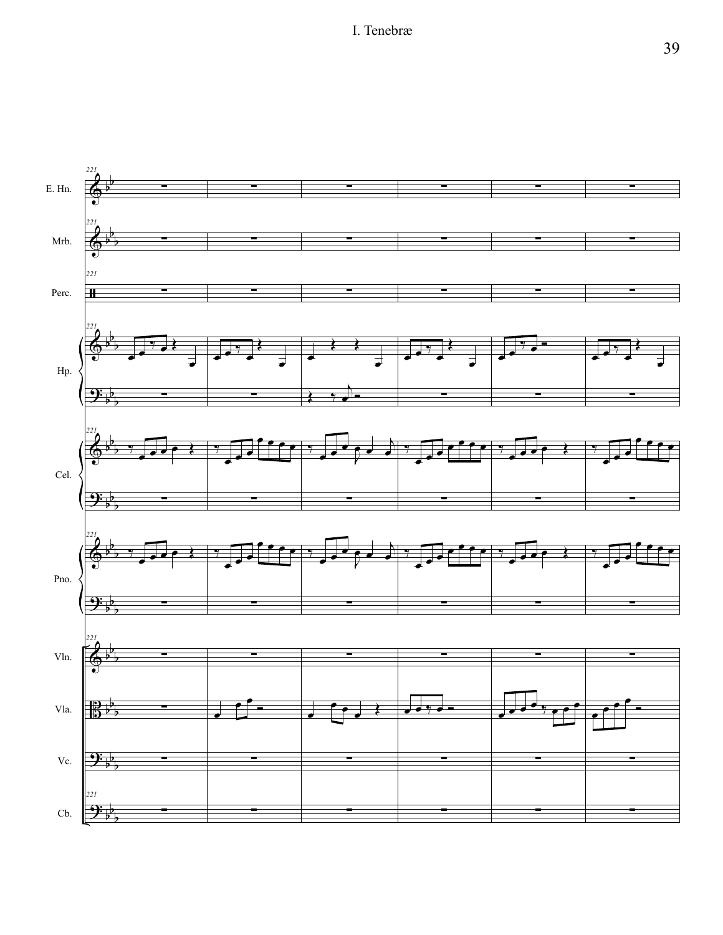![](_page_38_Figure_1.jpeg)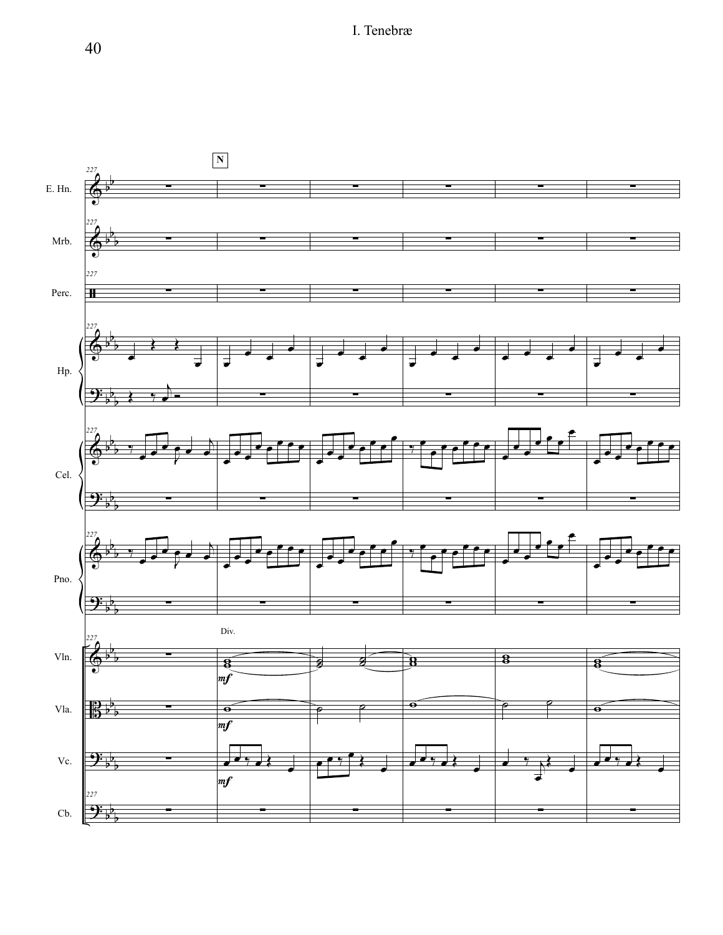![](_page_39_Figure_1.jpeg)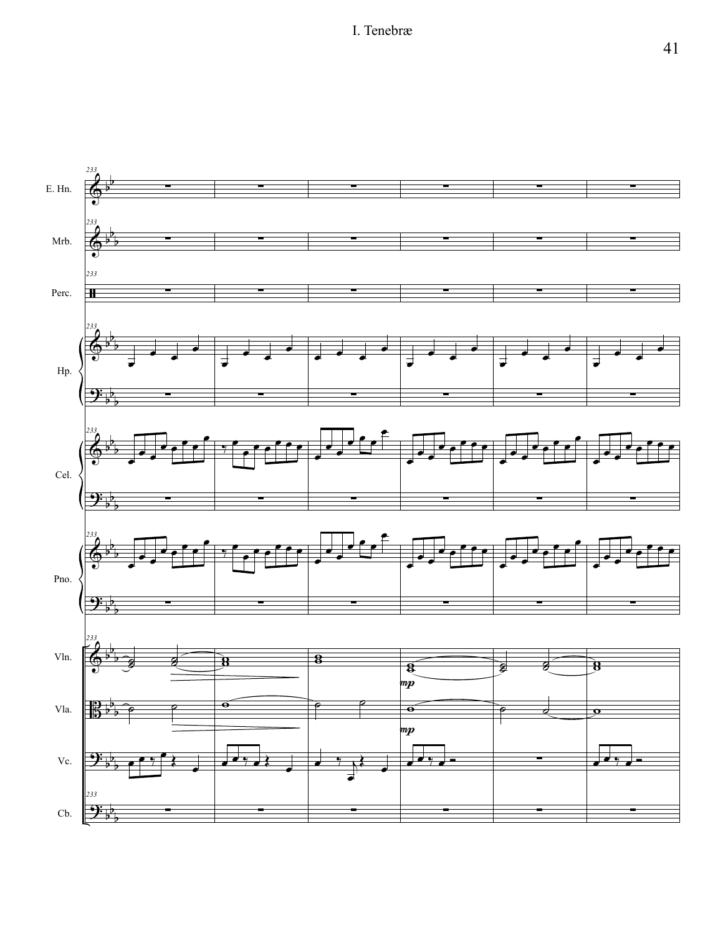![](_page_40_Figure_1.jpeg)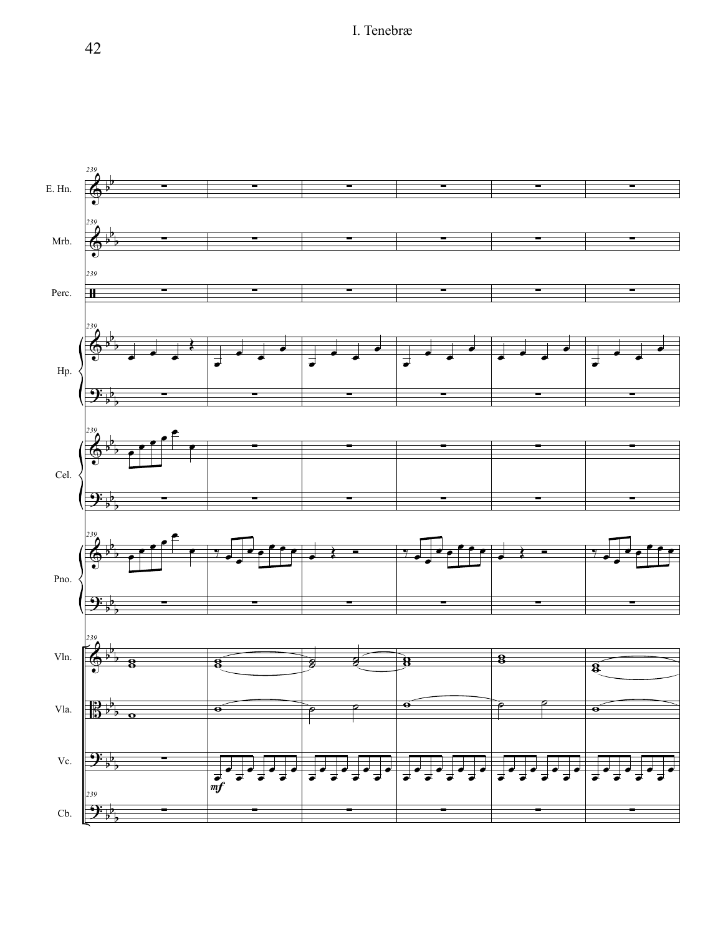![](_page_41_Figure_1.jpeg)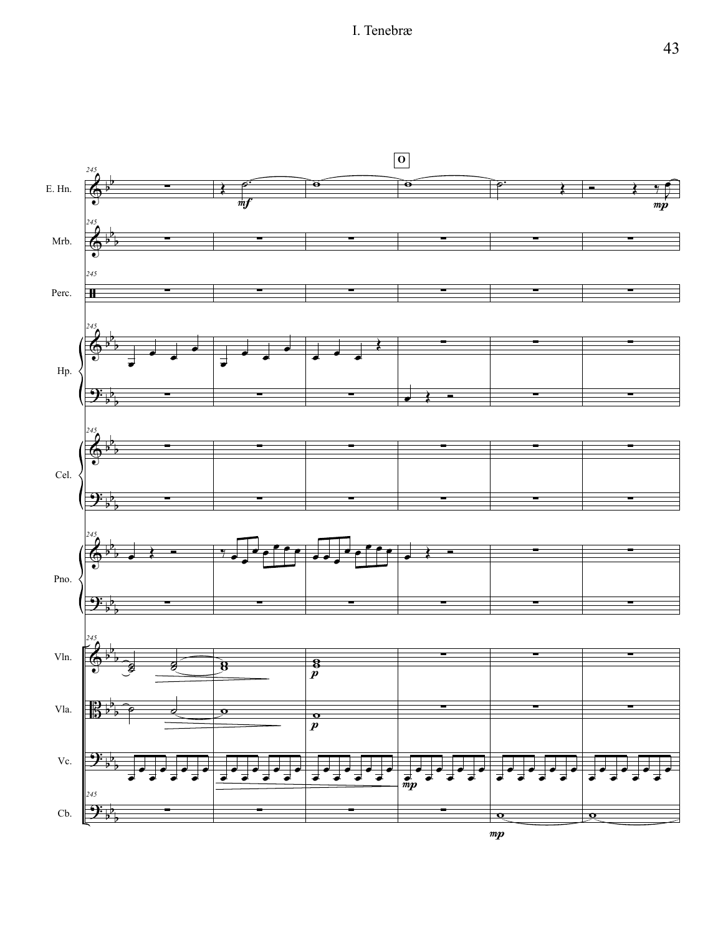![](_page_42_Figure_1.jpeg)

 $\mathbf{m}p$ 

43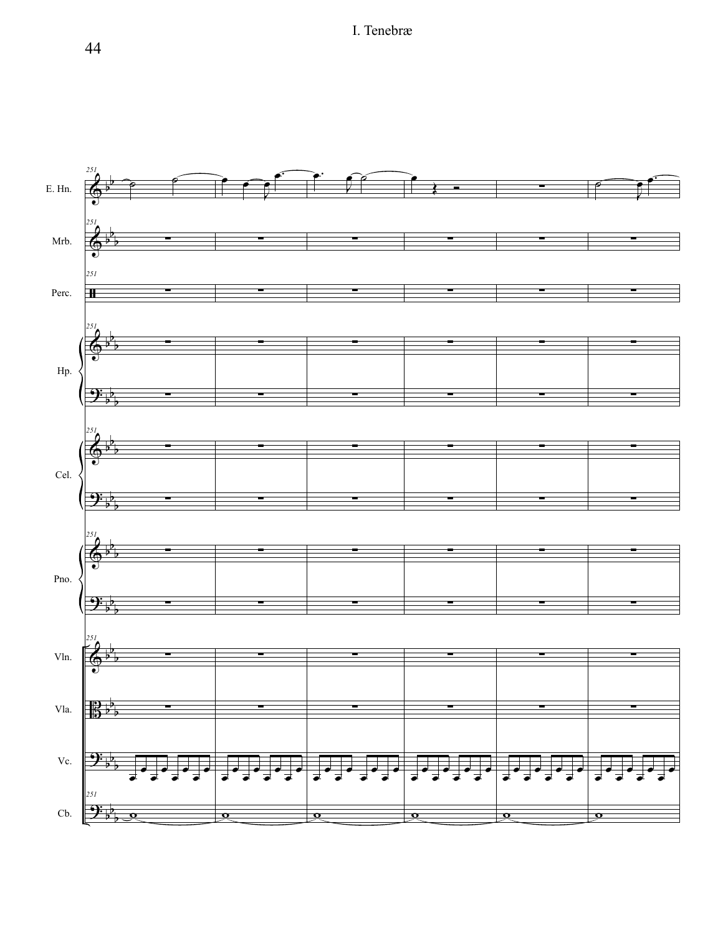![](_page_43_Figure_1.jpeg)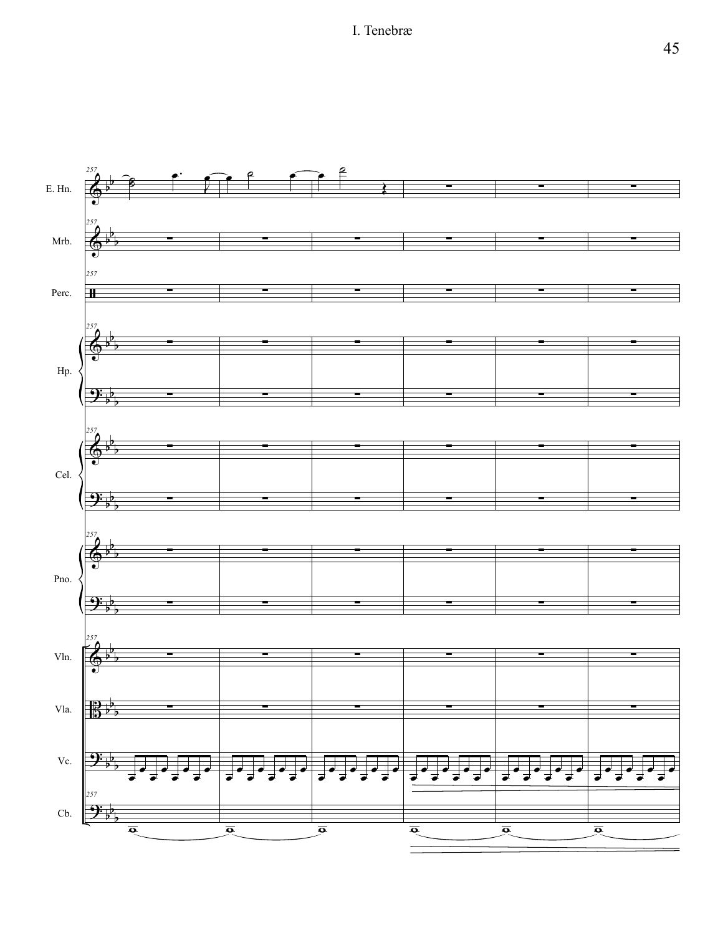![](_page_44_Figure_1.jpeg)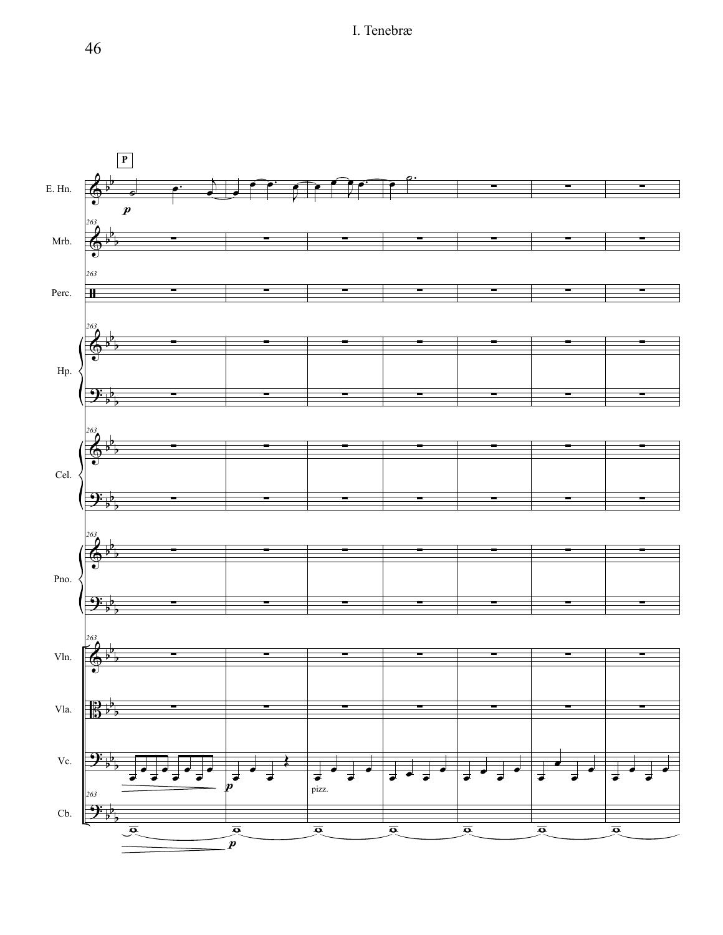![](_page_45_Figure_1.jpeg)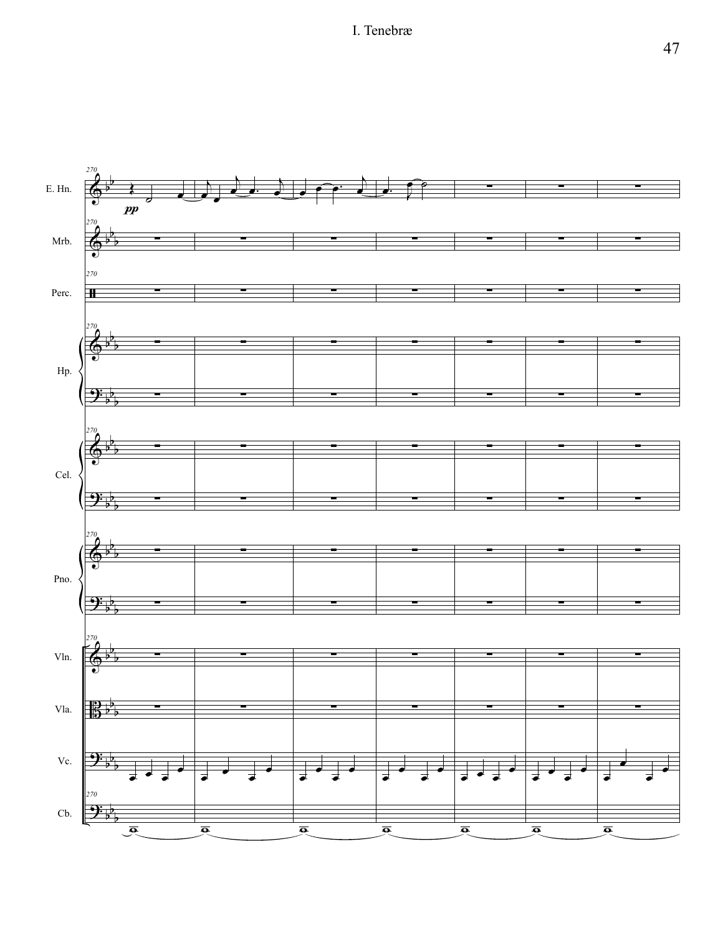![](_page_46_Figure_1.jpeg)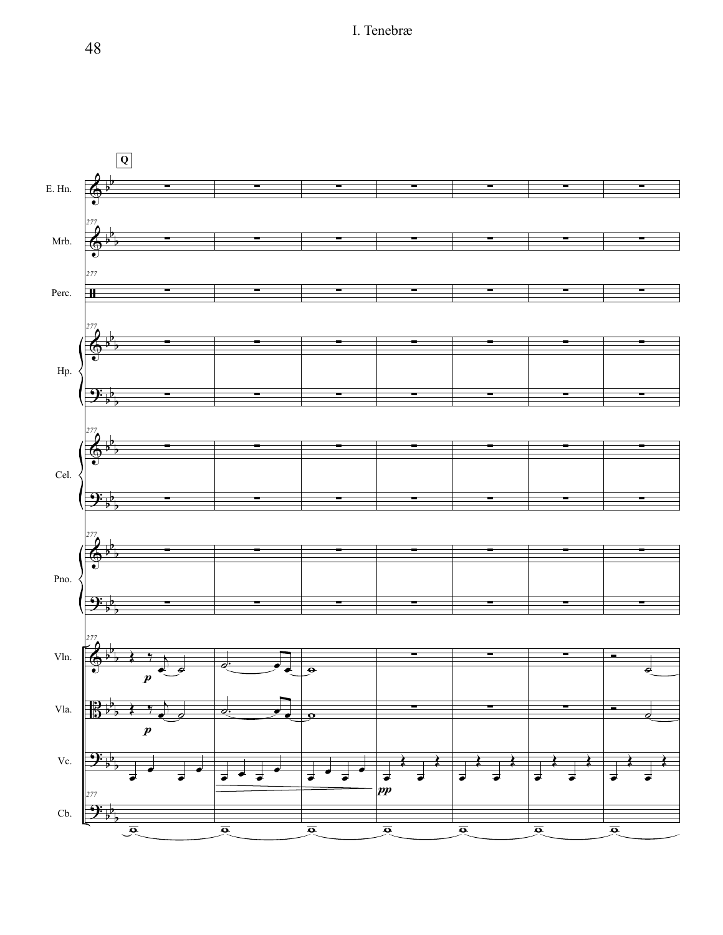![](_page_47_Figure_1.jpeg)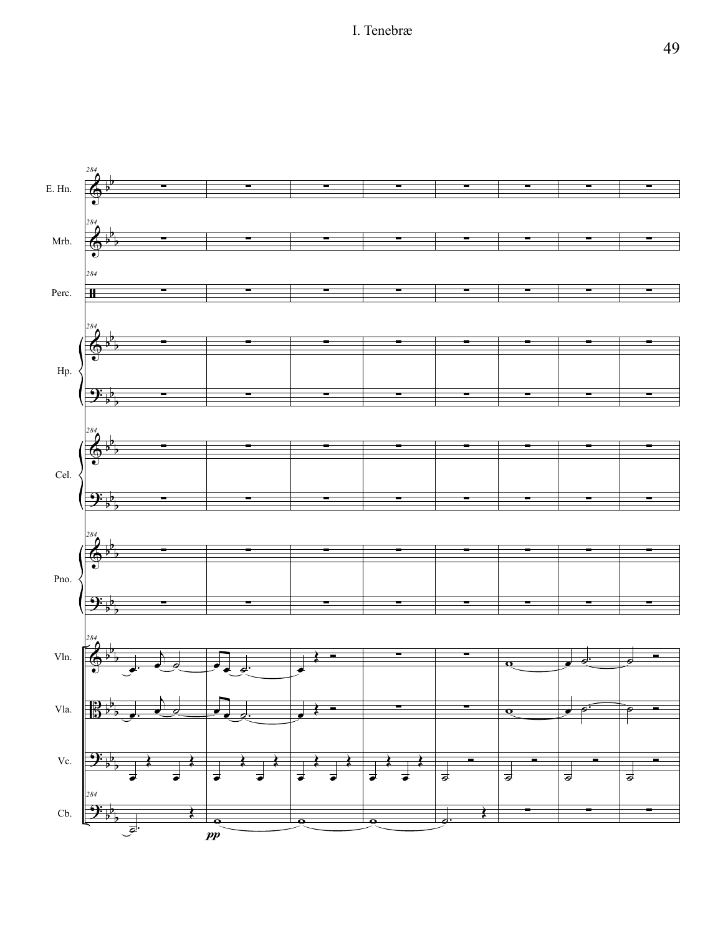![](_page_48_Figure_1.jpeg)